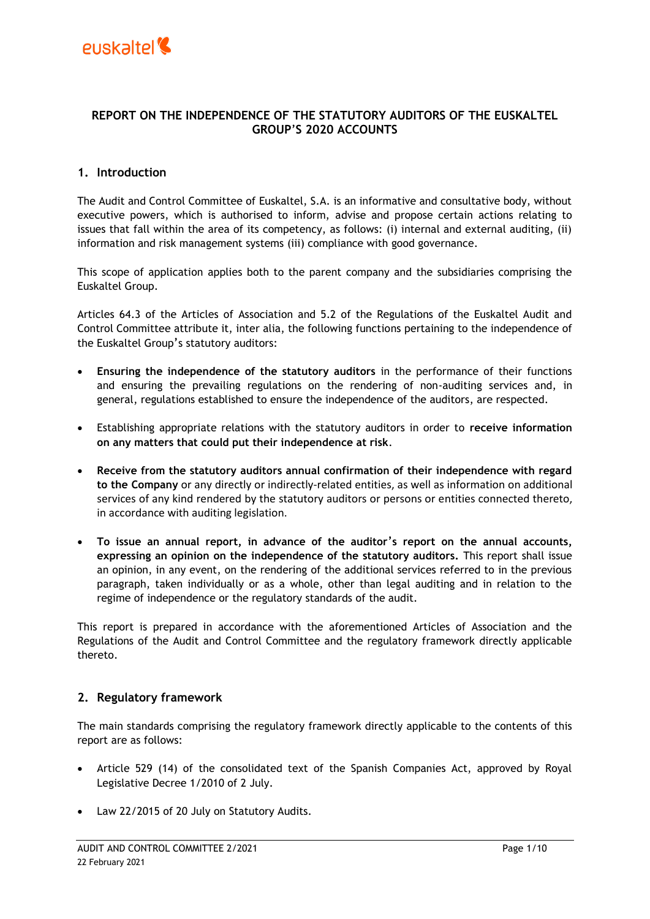

# **REPORT ON THE INDEPENDENCE OF THE STATUTORY AUDITORS OF THE EUSKALTEL GROUP**'**S 2020 ACCOUNTS**

#### **1. Introduction**

The Audit and Control Committee of Euskaltel, S.A. is an informative and consultative body, without executive powers, which is authorised to inform, advise and propose certain actions relating to issues that fall within the area of its competency, as follows: (i) internal and external auditing, (ii) information and risk management systems (iii) compliance with good governance.

This scope of application applies both to the parent company and the subsidiaries comprising the Euskaltel Group.

Articles 64.3 of the Articles of Association and 5.2 of the Regulations of the Euskaltel Audit and Control Committee attribute it, inter alia, the following functions pertaining to the independence of the Euskaltel Group's statutory auditors:

- **Ensuring the independence of the statutory auditors** in the performance of their functions and ensuring the prevailing regulations on the rendering of non-auditing services and, in general, regulations established to ensure the independence of the auditors, are respected.
- Establishing appropriate relations with the statutory auditors in order to **receive information on any matters that could put their independence at risk**.
- **Receive from the statutory auditors annual confirmation of their independence with regard to the Company** or any directly or indirectly-related entities, as well as information on additional services of any kind rendered by the statutory auditors or persons or entities connected thereto, in accordance with auditing legislation.
- **To issue an annual report, in advance of the auditor**'**s report on the annual accounts, expressing an opinion on the independence of the statutory auditors.** This report shall issue an opinion, in any event, on the rendering of the additional services referred to in the previous paragraph, taken individually or as a whole, other than legal auditing and in relation to the regime of independence or the regulatory standards of the audit.

This report is prepared in accordance with the aforementioned Articles of Association and the Regulations of the Audit and Control Committee and the regulatory framework directly applicable thereto.

#### **2. Regulatory framework**

The main standards comprising the regulatory framework directly applicable to the contents of this report are as follows:

- Article 529 (14) of the consolidated text of the Spanish Companies Act, approved by Royal Legislative Decree 1/2010 of 2 July.
- Law 22/2015 of 20 July on Statutory Audits.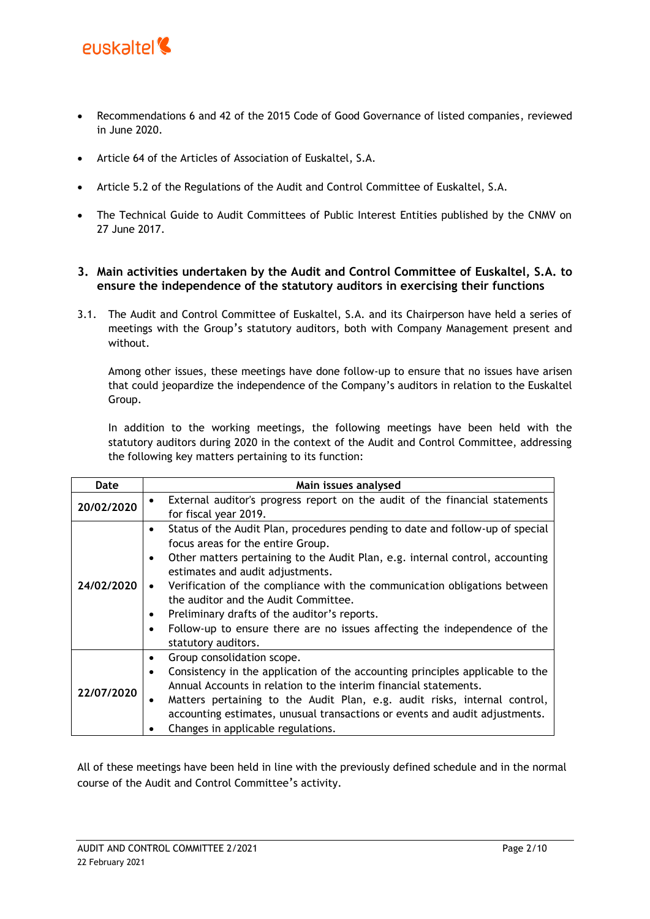

- Recommendations 6 and 42 of the 2015 Code of Good Governance of listed companies, reviewed in June 2020.
- Article 64 of the Articles of Association of Euskaltel, S.A.
- Article 5.2 of the Regulations of the Audit and Control Committee of Euskaltel, S.A.
- The Technical Guide to Audit Committees of Public Interest Entities published by the CNMV on 27 June 2017.

### **3. Main activities undertaken by the Audit and Control Committee of Euskaltel, S.A. to ensure the independence of the statutory auditors in exercising their functions**

3.1. The Audit and Control Committee of Euskaltel, S.A. and its Chairperson have held a series of meetings with the Group's statutory auditors, both with Company Management present and without.

Among other issues, these meetings have done follow-up to ensure that no issues have arisen that could jeopardize the independence of the Company's auditors in relation to the Euskaltel Group.

In addition to the working meetings, the following meetings have been held with the statutory auditors during 2020 in the context of the Audit and Control Committee, addressing the following key matters pertaining to its function:

| Date       | Main issues analysed                                                                       |
|------------|--------------------------------------------------------------------------------------------|
| 20/02/2020 | External auditor's progress report on the audit of the financial statements<br>$\bullet$   |
|            | for fiscal year 2019.                                                                      |
|            | Status of the Audit Plan, procedures pending to date and follow-up of special<br>$\bullet$ |
| 24/02/2020 | focus areas for the entire Group.                                                          |
|            | Other matters pertaining to the Audit Plan, e.g. internal control, accounting<br>$\bullet$ |
|            | estimates and audit adjustments.                                                           |
|            | Verification of the compliance with the communication obligations between<br>$\bullet$     |
|            | the auditor and the Audit Committee.                                                       |
|            | Preliminary drafts of the auditor's reports.<br>٠                                          |
|            | Follow-up to ensure there are no issues affecting the independence of the<br>$\bullet$     |
|            | statutory auditors.                                                                        |
| 22/07/2020 | Group consolidation scope.<br>٠                                                            |
|            | Consistency in the application of the accounting principles applicable to the<br>$\bullet$ |
|            | Annual Accounts in relation to the interim financial statements.                           |
|            | Matters pertaining to the Audit Plan, e.g. audit risks, internal control,<br>$\bullet$     |
|            | accounting estimates, unusual transactions or events and audit adjustments.                |
|            | Changes in applicable regulations.                                                         |

All of these meetings have been held in line with the previously defined schedule and in the normal course of the Audit and Control Committee's activity.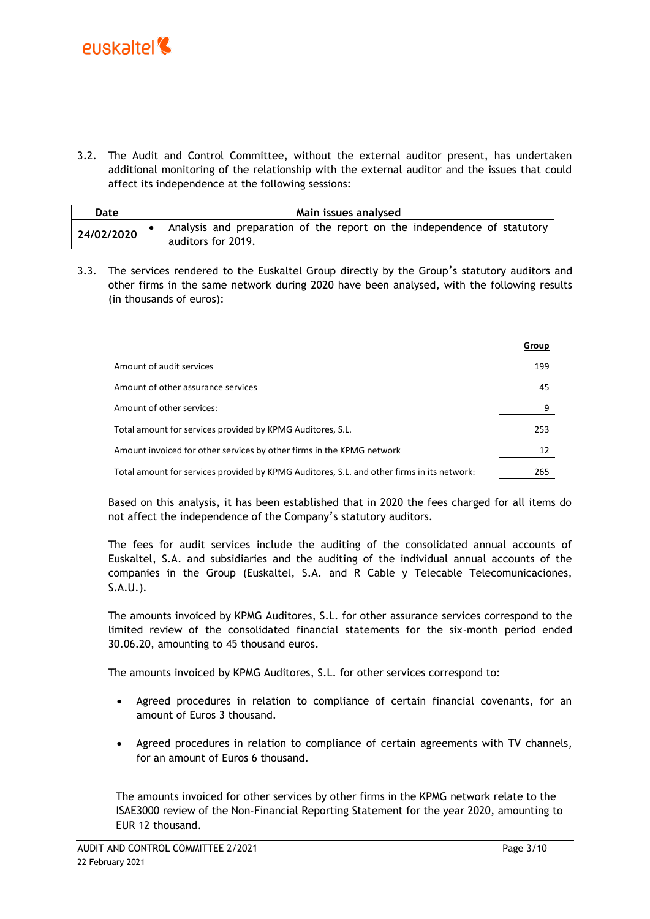

3.2. The Audit and Control Committee, without the external auditor present, has undertaken additional monitoring of the relationship with the external auditor and the issues that could affect its independence at the following sessions:

| Date       | Main issues analysed                                                                          |  |  |  |
|------------|-----------------------------------------------------------------------------------------------|--|--|--|
| 24/02/2020 | Analysis and preparation of the report on the independence of statutory<br>auditors for 2019. |  |  |  |

3.3. The services rendered to the Euskaltel Group directly by the Group's statutory auditors and other firms in the same network during 2020 have been analysed, with the following results (in thousands of euros):

|                                                                                            | Group |
|--------------------------------------------------------------------------------------------|-------|
| Amount of audit services                                                                   | 199   |
| Amount of other assurance services                                                         |       |
| Amount of other services:                                                                  | 9     |
| Total amount for services provided by KPMG Auditores, S.L.                                 |       |
| Amount invoiced for other services by other firms in the KPMG network                      |       |
| Total amount for services provided by KPMG Auditores, S.L. and other firms in its network: | 265   |

Based on this analysis, it has been established that in 2020 the fees charged for all items do not affect the independence of the Company's statutory auditors.

The fees for audit services include the auditing of the consolidated annual accounts of Euskaltel, S.A. and subsidiaries and the auditing of the individual annual accounts of the companies in the Group (Euskaltel, S.A. and R Cable y Telecable Telecomunicaciones, S.A.U.).

The amounts invoiced by KPMG Auditores, S.L. for other assurance services correspond to the limited review of the consolidated financial statements for the six-month period ended 30.06.20, amounting to 45 thousand euros.

The amounts invoiced by KPMG Auditores, S.L. for other services correspond to:

- Agreed procedures in relation to compliance of certain financial covenants, for an amount of Euros 3 thousand.
- Agreed procedures in relation to compliance of certain agreements with TV channels, for an amount of Euros 6 thousand.

The amounts invoiced for other services by other firms in the KPMG network relate to the ISAE3000 review of the Non-Financial Reporting Statement for the year 2020, amounting to EUR 12 thousand.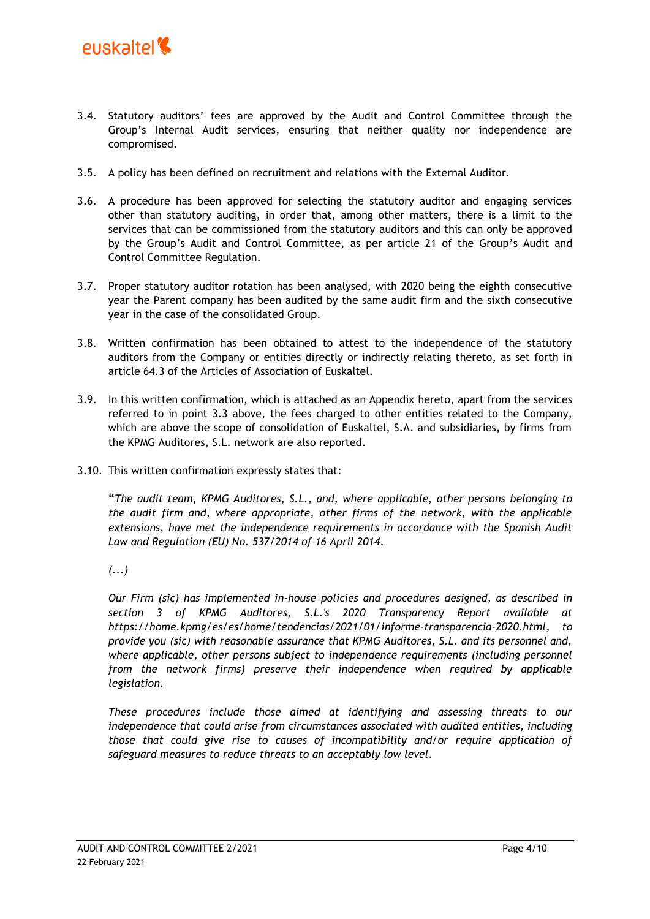

- 3.4. Statutory auditors' fees are approved by the Audit and Control Committee through the Group's Internal Audit services, ensuring that neither quality nor independence are compromised.
- 3.5. A policy has been defined on recruitment and relations with the External Auditor.
- 3.6. A procedure has been approved for selecting the statutory auditor and engaging services other than statutory auditing, in order that, among other matters, there is a limit to the services that can be commissioned from the statutory auditors and this can only be approved by the Group's Audit and Control Committee, as per article 21 of the Group's Audit and Control Committee Regulation.
- 3.7. Proper statutory auditor rotation has been analysed, with 2020 being the eighth consecutive year the Parent company has been audited by the same audit firm and the sixth consecutive year in the case of the consolidated Group.
- 3.8. Written confirmation has been obtained to attest to the independence of the statutory auditors from the Company or entities directly or indirectly relating thereto, as set forth in article 64.3 of the Articles of Association of Euskaltel.
- 3.9. In this written confirmation, which is attached as an Appendix hereto, apart from the services referred to in point 3.3 above, the fees charged to other entities related to the Company, which are above the scope of consolidation of Euskaltel, S.A. and subsidiaries, by firms from the KPMG Auditores, S.L. network are also reported.
- 3.10. This written confirmation expressly states that:

"*The audit team, KPMG Auditores, S.L., and, where applicable, other persons belonging to the audit firm and, where appropriate, other firms of the network, with the applicable extensions, have met the independence requirements in accordance with the Spanish Audit Law and Regulation (EU) No. 537/2014 of 16 April 2014.*

*(...)*

*Our Firm (sic) has implemented in-house policies and procedures designed, as described in section 3 of KPMG Auditores, S.L.'s 2020 Transparency Report available at [https://home.kpmg/es/es/home/tendencias/2021/01/i](https://home.kpmg/es/es/home/tendencias/2021/01/)nforme-transparencia-2020.html, to provide you (sic) with reasonable assurance that KPMG Auditores, S.L. and its personnel and, where applicable, other persons subject to independence requirements (including personnel from the network firms) preserve their independence when required by applicable legislation.* 

*These procedures include those aimed at identifying and assessing threats to our independence that could arise from circumstances associated with audited entities, including those that could give rise to causes of incompatibility and/or require application of safeguard measures to reduce threats to an acceptably low level.*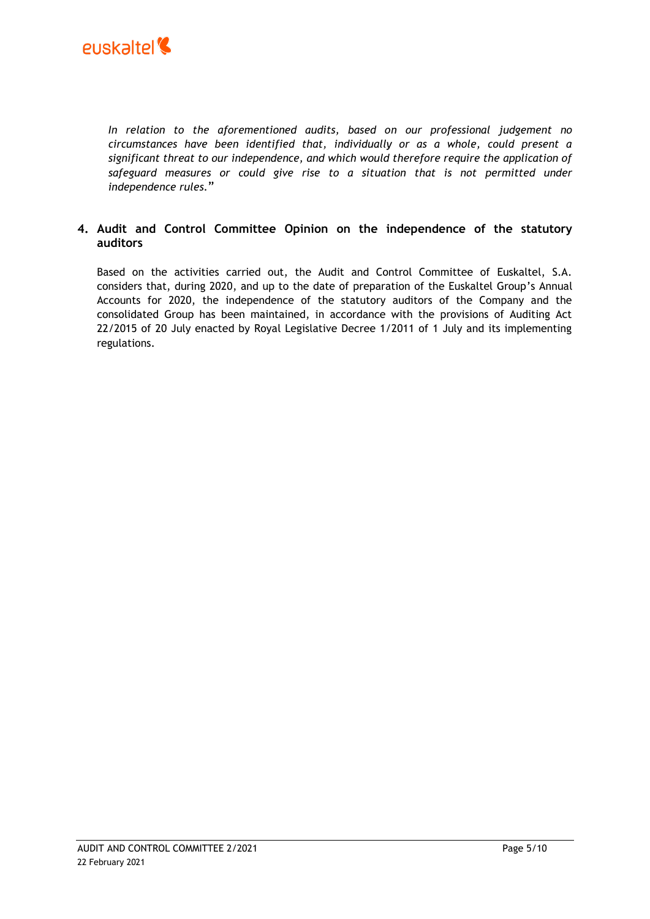

*In relation to the aforementioned audits, based on our professional judgement no circumstances have been identified that, individually or as a whole, could present a significant threat to our independence, and which would therefore require the application of safeguard measures or could give rise to a situation that is not permitted under independence rules.*"

## **4. Audit and Control Committee Opinion on the independence of the statutory auditors**

Based on the activities carried out, the Audit and Control Committee of Euskaltel, S.A. considers that, during 2020, and up to the date of preparation of the Euskaltel Group's Annual Accounts for 2020, the independence of the statutory auditors of the Company and the consolidated Group has been maintained, in accordance with the provisions of Auditing Act 22/2015 of 20 July enacted by Royal Legislative Decree 1/2011 of 1 July and its implementing regulations.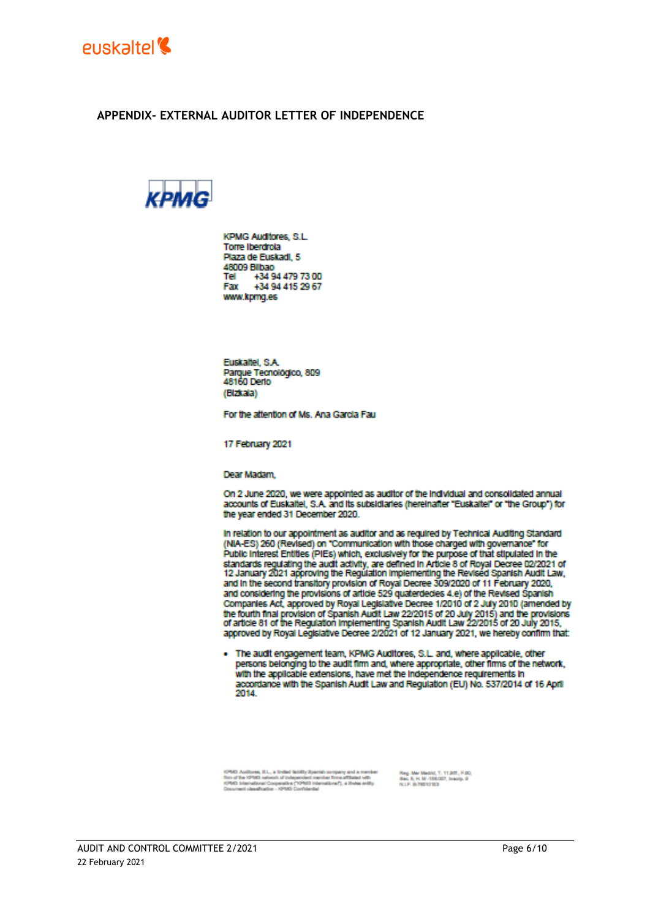

## APPENDIX- EXTERNAL AUDITOR LETTER OF INDEPENDENCE



**KPMG Audiores, S.I. Torre Iberdrola** Plaza de Euskadi, 5 48009 Bilbao Tel +34 94 479 73 00<br>Fax +34 94 415 29 67 www.kpmg.es

**Euskaltel, S.A.** Parque Tecnológico, 809 48160 Derlo (Bizkala)

For the attention of Ms. Ana Garda Faul

17 February 2021

Dear Madam.

On 2 June 2020, we were appointed as auditor of the individual and consolidated annual accounts of Euskaltel, S.A. and its subsidiaries (hereinafter "Euskaltel" or "the Group") for the year ended 31 December 2020.

In relation to our appointment as auditor and as required by Technical Auditing Standard (NIA-ES) 260 (Revised) on "Communication with those charged with governance" for Public Interest Entities (PIEs) which, exclusively for the purpose of that stipulated in the standards regulating the audit activity, are defined in Article 8 of Royal Decree 02/2021 of<br>12 January 2021 approving the Regulation Implementing the Revised Spanish Audit Law, and in the second transitory provision of Royal Decree 309/2020 of 11 February 2020, and considering the provisions of article 529 quaterdecies 4.e) of the Revised Spanish Companies Act, approved by Royal Legislative Decree 1/2010 of 2 July 2010 (amended by the fourth final provision of Spanish Audit Law 22/2015 of 20 July 2015) and the provisions of article 81 of the Regulation Implementing Spanish Audit Law 22/2015 of 20 July 2015, approved by Royal Legislative Decree 2/2021 of 12 January 2021, we hereby confirm that:

· The audit engagement team, KPMG Auditores, S.L. and, where applicable, other persons belonging to the audit firm and, where appropriate, other firms of the network, with the applicable extensions, have met the Independence requirements in accordance with the Spanish Audit Law and Regulation (EU) No. 537/2014 of 16 April 2014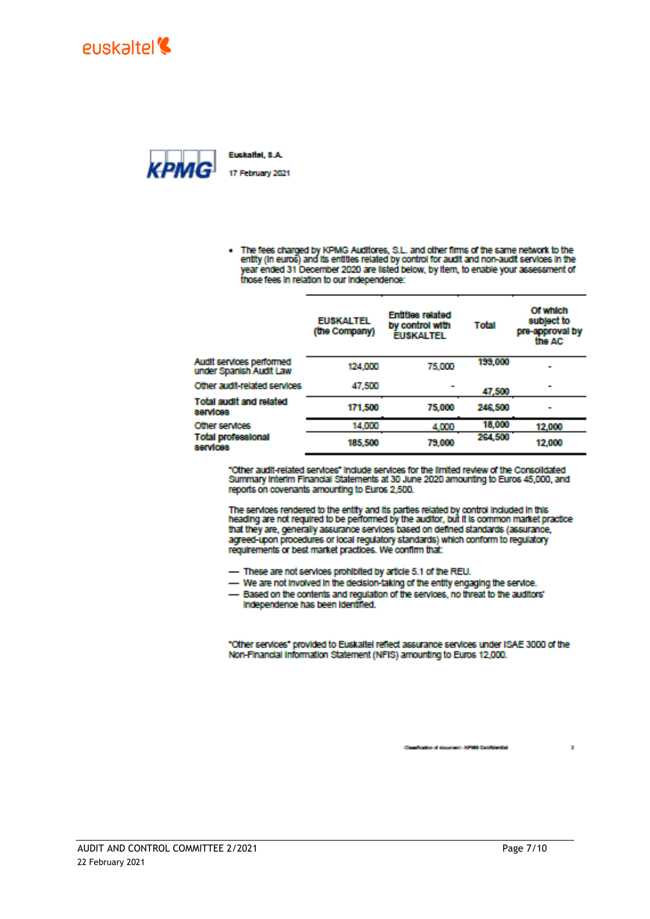



Euckaltel, 8.A.

- 
- . The fees charged by KPMG Auditores, S.L. and other firms of the same network to the entity (in euros) and its entities related by control for audit and non-audit services in the year ended 31 December 2020 are listed below, by Item, to enable your assessment of those fees in relation to our independence:

|                                                     | <b>EUSKALTEL</b><br>(the Company) | <b>Entities related</b><br>by control with<br><b>EUSKALTEL</b> | Total   | Of which<br>subject to<br>pre-approval by<br>the AC |
|-----------------------------------------------------|-----------------------------------|----------------------------------------------------------------|---------|-----------------------------------------------------|
| Audit services performed<br>under Spanish Audit Law | 124,000                           | 75,000                                                         | 199,000 |                                                     |
| Other audit-related services                        | 47.500                            |                                                                | 47,500  |                                                     |
| <b>Total audit and related</b><br>services          | 171,500                           | 75,000                                                         | 246,500 |                                                     |
| Other services                                      | 14.000                            | 4,000                                                          | 18,000  | 12,000                                              |
| Total professional<br>services                      | 185,500                           | 79,000                                                         | 264,500 | 12,000                                              |

"Other audit-related services" include services for the limited review of the Consolidated Summary Interim Financial Statements at 30 June 2020 amounting to Euros 45,000, and reports on covenants amounting to Euros 2,500.

The services rendered to the entity and its parties related by control included in this<br>heading are not required to be performed by the auditor, but it is common market practice that they are, generally assurance services based on defined standards (assurance, agreed-upon procedures or local regulatory standards) which conform to regulatory requirements or best market practices. We confirm that:

- These are not services prohibited by article 5.1 of the REU.
- We are not involved in the decision-taking of the entity engaging the service.
- Based on the contents and regulation of the services, no threat to the auditors' Independence has been identified.

"Other services" provided to Euskaltel reflect assurance services under ISAE 3000 of the Non-Financial Information Statement (NFIS) amounting to Euros 12,000.

> don d' dos next - KPMG Confidential

ä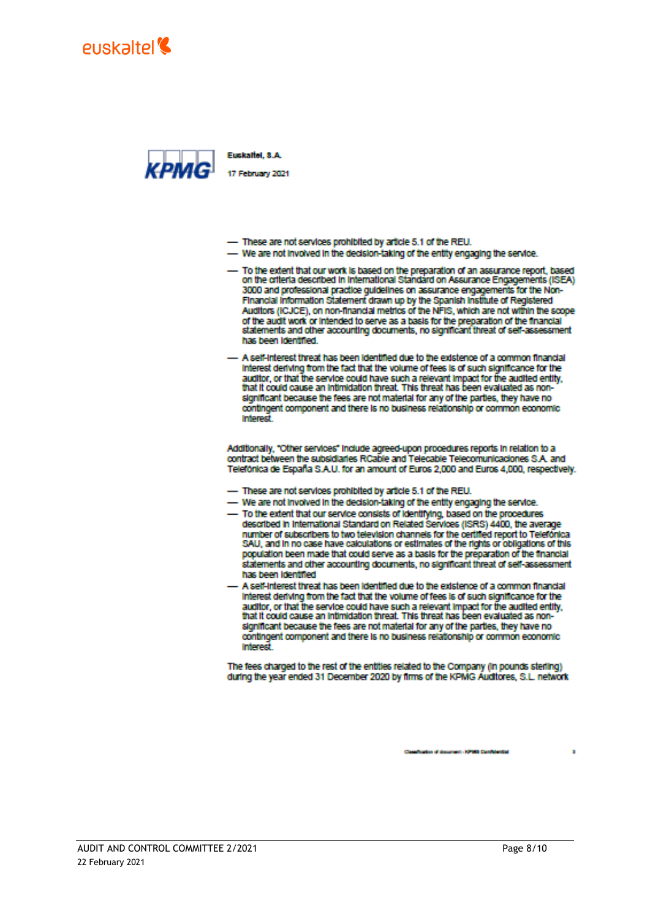



Euckaltel, 8.A.

17 February 2021

- These are not services prohibited by article 5.1 of the REU.
- We are not involved in the decision-taking of the entity engaging the service.
- To the extent that our work is based on the preparation of an assurance report, based on the criteria described in International Standard on Assurance Engagements (ISEA) 3000 and professional practice guidelines on assurance engagements for the Non-Financial information Statement drawn up by the Spanish institute of Registered Auditors (ICJCE), on non-financial metrics of the NFIS, which are not within the scope of the audit work or intended to serve as a basis for the preparation of the financial statements and other accounting documents, no significant threat of self-assessment has been identified.
- A self-interest threat has been identified due to the existence of a common financial Interest deriving from the fact that the volume of fees is of such significance for the auditor, or that the service could have such a relevant impact for the audited entity, that it could cause an intimidation threat. This threat has been evaluated as nonsignificant because the fees are not material for any of the parties, they have no contingent component and there is no business relationship or common economic Interest

Additionally, "Other services" include agreed-upon procedures reports in relation to a contract between the subsidiaries RCable and Telecable Telecomunicaciones S.A. and Telefónica de España S.A.U. for an amount of Euros 2,000 and Euros 4,000, respectively.

- These are not services prohibited by article 5.1 of the REU.
- We are not involved in the decision-taking of the entity engaging the service.
- To the extent that our service consists of identifying, based on the procedures described in International Standard on Related Services (ISRS) 4400, the average number of subscribers to two television channels for the certified report to Telefonica SAU, and in no case have calculations or estimates of the rights or obligations of this population been made that could serve as a basis for the preparation of the financial statements and other accounting documents, no significant threat of self-assessment has been identified
- A self-interest threat has been identified due to the existence of a common financial interest deriving from the fact that the volume of fees is of such significance for the auditor, or that the service could have such a relevant impact for the audited entity. that it could cause an intimidation threat. This threat has been evaluated as nonsignificant because the fees are not material for any of the parties, they have no contingent component and there is no business relationship or common economic Interest

The fees charged to the rest of the entities related to the Company (in pounds sterling) during the year ended 31 December 2020 by firms of the KPMG Auditores, S.L. network

CaseRodon d'Ancorest - KPM3 Candidationi

×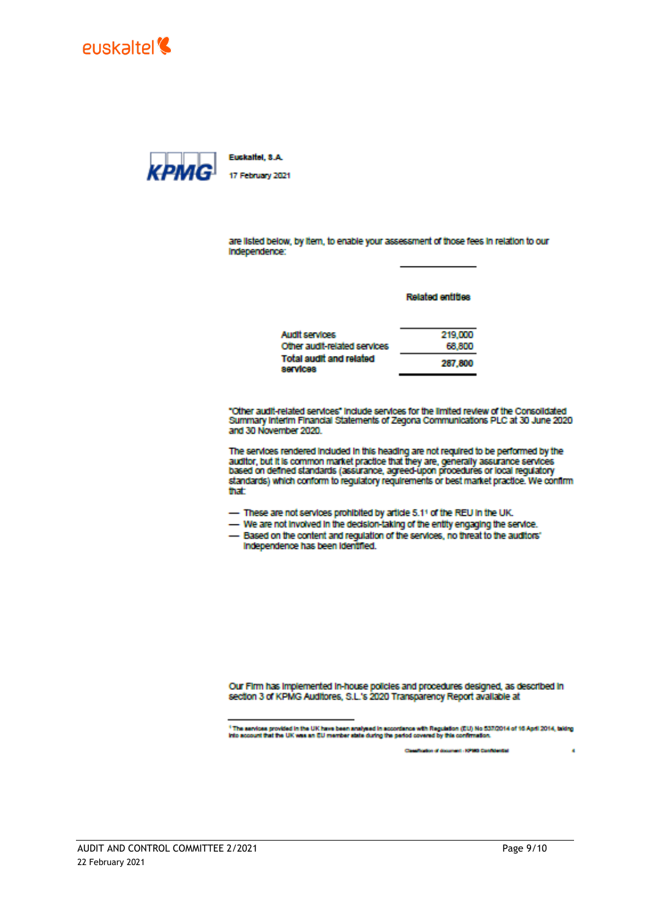



Euckaltel, S.A.

are listed below, by item, to enable your assessment of those fees in relation to our Independence:

#### **Related entities**

| Audit services                                    | 219,000 |
|---------------------------------------------------|---------|
| Other audit-related services                      | 68,800  |
| <b>Total audit and related</b><br><b>sarvices</b> | 287.800 |

"Other audit-related services" include services for the limited review of the Consolidated Summary Interim Financial Statements of Zegona Communications PLC at 30 June 2020 and 30 November 2020.

The services rendered included in this heading are not required to be performed by the auditor, but it is common market practice that they are, generally assurance services<br>based on defined standards (assurance, agreed-upon procedures or local regulatory standards) which conform to requiatory requirements or best market practice. We confirm that:

- These are not services prohibited by article 5.11 of the REU in the UK.
- We are not involved in the decision-taking of the entity engaging the service.
- Based on the content and regulation of the services, no threat to the auditors' Independence has been identified.

Our Firm has implemented in-house policies and procedures designed, as described in section 3 of KPMG Auditores, S.L.'s 2020 Transparency Report available at

<sup>1</sup> The services provided in the UK have been analysed in accordance with Regulation (EU) No 537/2014 of 16 April 2014, taking<br>Into account that the UK was an EU member state during the period covered by this confirmation.

Cassflusion of document - KPMG Confidential

k